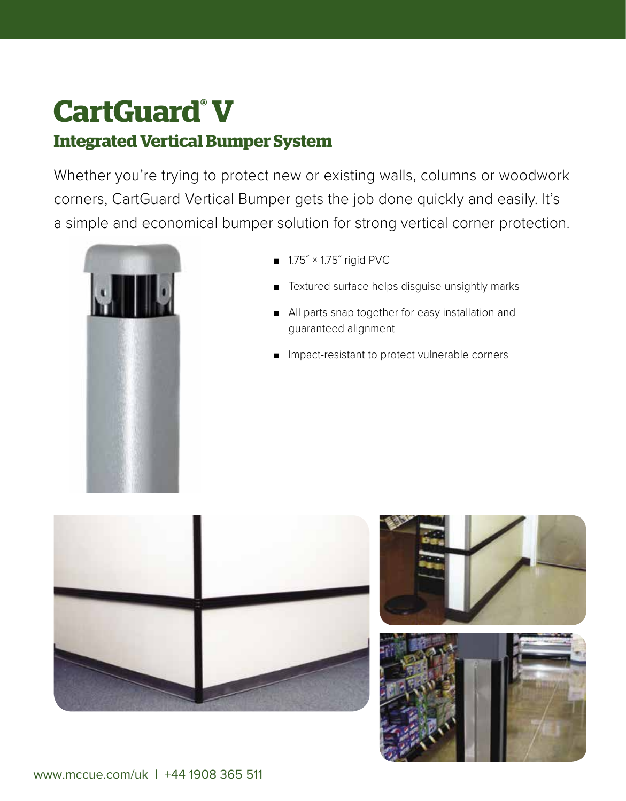# **CartGuard® V Integrated Vertical Bumper System**

Whether you're trying to protect new or existing walls, columns or woodwork corners, CartGuard Vertical Bumper gets the job done quickly and easily. It's a simple and economical bumper solution for strong vertical corner protection.



- 1.75<sup>"</sup> × 1.75<sup>"</sup> rigid PVC
- Textured surface helps disguise unsightly marks
- All parts snap together for easy installation and guaranteed alignment
- Impact-resistant to protect vulnerable corners



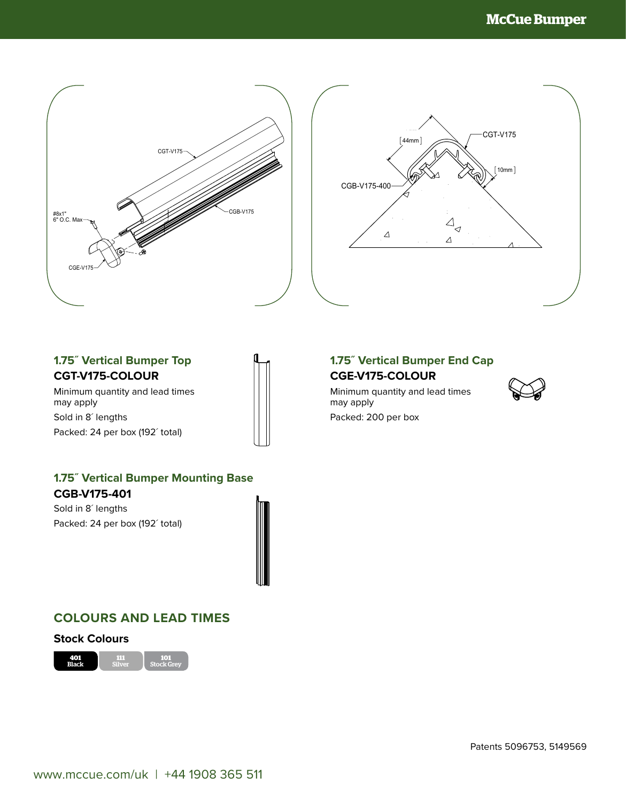



### **1.75˝ Vertical Bumper Top CGT-V175-COLOUR**

 $\overline{\phantom{a}}$ 

Minimum quantity and lead times may apply Sold in 8<sup>'</sup> lengths Packed: 24 per box (192´ total)



# **1.75˝ Vertical Bumper Mounting Base CGB-V175-401**

Sold in 8<sup> $\prime$ </sup> lengths Packed: 24 per box (192´ total)

## **COLOURS AND LEAD TIMES**

#### **Stock Colours**



## **1.75˝ Vertical Bumper End Cap CGE-V175-COLOUR**

Minimum quantity and lead times may apply Packed: 200 per box

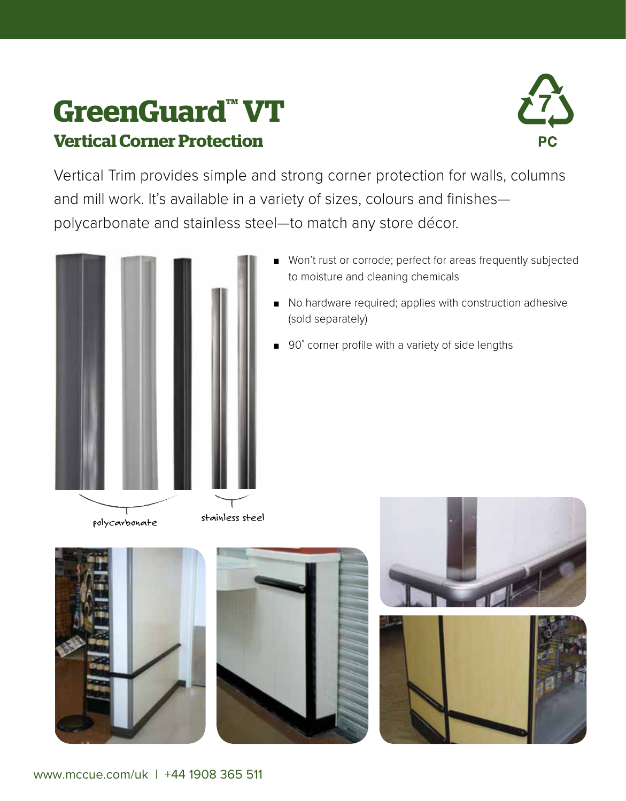# **GreenGuard™ VT Vertical Corner Protection**



Vertical Trim provides simple and strong corner protection for walls, columns and mill work. It's available in a variety of sizes, colours and finishes polycarbonate and stainless steel—to match any store décor.



- Won't rust or corrode; perfect for areas frequently subjected to moisture and cleaning chemicals
- No hardware required; applies with construction adhesive (sold separately)
- 90° corner profile with a variety of side lengths